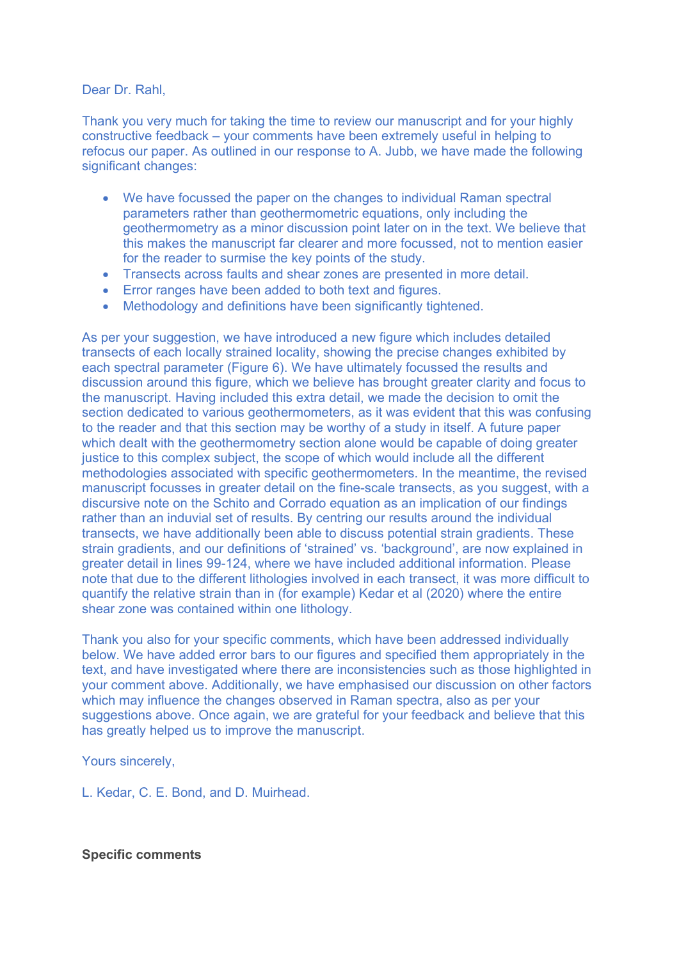Dear Dr. Rahl.

Thank you very much for taking the time to review our manuscript and for your highly constructive feedback – your comments have been extremely useful in helping to refocus our paper. As outlined in our response to A. Jubb, we have made the following significant changes:

- We have focussed the paper on the changes to individual Raman spectral parameters rather than geothermometric equations, only including the geothermometry as a minor discussion point later on in the text. We believe that this makes the manuscript far clearer and more focussed, not to mention easier for the reader to surmise the key points of the study.
- Transects across faults and shear zones are presented in more detail.
- Error ranges have been added to both text and figures.
- Methodology and definitions have been significantly tightened.

As per your suggestion, we have introduced a new figure which includes detailed transects of each locally strained locality, showing the precise changes exhibited by each spectral parameter (Figure 6). We have ultimately focussed the results and discussion around this figure, which we believe has brought greater clarity and focus to the manuscript. Having included this extra detail, we made the decision to omit the section dedicated to various geothermometers, as it was evident that this was confusing to the reader and that this section may be worthy of a study in itself. A future paper which dealt with the geothermometry section alone would be capable of doing greater justice to this complex subject, the scope of which would include all the different methodologies associated with specific geothermometers. In the meantime, the revised manuscript focusses in greater detail on the fine-scale transects, as you suggest, with a discursive note on the Schito and Corrado equation as an implication of our findings rather than an induvial set of results. By centring our results around the individual transects, we have additionally been able to discuss potential strain gradients. These strain gradients, and our definitions of 'strained' vs. 'background', are now explained in greater detail in lines 99-124, where we have included additional information. Please note that due to the different lithologies involved in each transect, it was more difficult to quantify the relative strain than in (for example) Kedar et al (2020) where the entire shear zone was contained within one lithology.

Thank you also for your specific comments, which have been addressed individually below. We have added error bars to our figures and specified them appropriately in the text, and have investigated where there are inconsistencies such as those highlighted in your comment above. Additionally, we have emphasised our discussion on other factors which may influence the changes observed in Raman spectra, also as per your suggestions above. Once again, we are grateful for your feedback and believe that this has greatly helped us to improve the manuscript.

Yours sincerely,

L. Kedar, C. E. Bond, and D. Muirhead.

**Specific comments**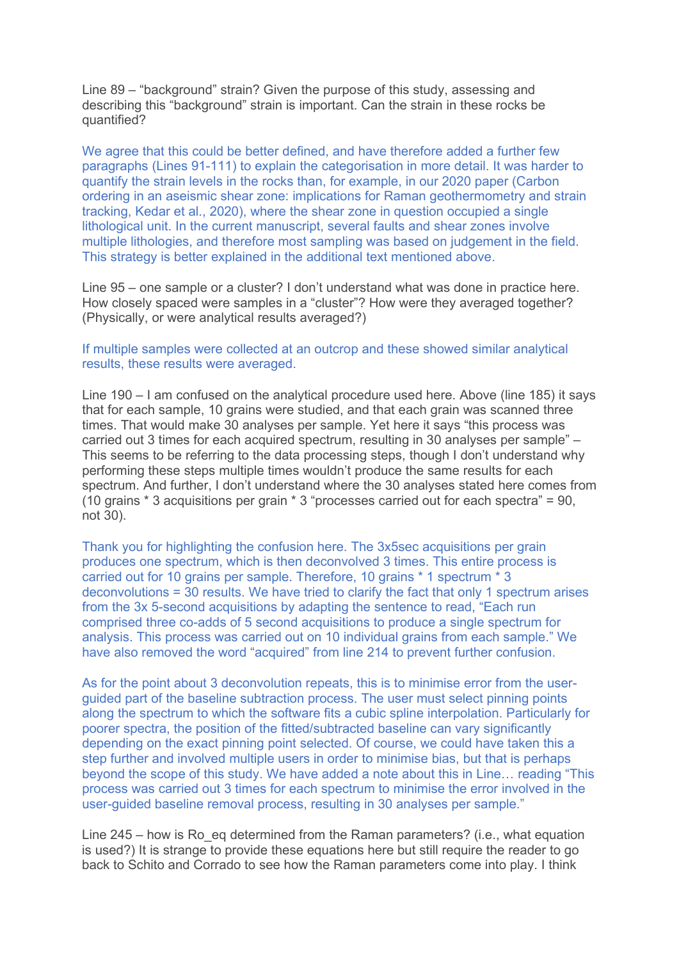Line 89 – "background" strain? Given the purpose of this study, assessing and describing this "background" strain is important. Can the strain in these rocks be quantified?

We agree that this could be better defined, and have therefore added a further few paragraphs (Lines 91-111) to explain the categorisation in more detail. It was harder to quantify the strain levels in the rocks than, for example, in our 2020 paper (Carbon ordering in an aseismic shear zone: implications for Raman geothermometry and strain tracking, Kedar et al., 2020), where the shear zone in question occupied a single lithological unit. In the current manuscript, several faults and shear zones involve multiple lithologies, and therefore most sampling was based on judgement in the field. This strategy is better explained in the additional text mentioned above.

Line 95 – one sample or a cluster? I don't understand what was done in practice here. How closely spaced were samples in a "cluster"? How were they averaged together? (Physically, or were analytical results averaged?)

## If multiple samples were collected at an outcrop and these showed similar analytical results, these results were averaged.

Line 190 – I am confused on the analytical procedure used here. Above (line 185) it says that for each sample, 10 grains were studied, and that each grain was scanned three times. That would make 30 analyses per sample. Yet here it says "this process was carried out 3 times for each acquired spectrum, resulting in 30 analyses per sample" – This seems to be referring to the data processing steps, though I don't understand why performing these steps multiple times wouldn't produce the same results for each spectrum. And further, I don't understand where the 30 analyses stated here comes from (10 grains \* 3 acquisitions per grain \* 3 "processes carried out for each spectra" = 90, not 30).

Thank you for highlighting the confusion here. The 3x5sec acquisitions per grain produces one spectrum, which is then deconvolved 3 times. This entire process is carried out for 10 grains per sample. Therefore, 10 grains \* 1 spectrum \* 3 deconvolutions = 30 results. We have tried to clarify the fact that only 1 spectrum arises from the 3x 5-second acquisitions by adapting the sentence to read, "Each run comprised three co-adds of 5 second acquisitions to produce a single spectrum for analysis. This process was carried out on 10 individual grains from each sample." We have also removed the word "acquired" from line 214 to prevent further confusion.

As for the point about 3 deconvolution repeats, this is to minimise error from the userguided part of the baseline subtraction process. The user must select pinning points along the spectrum to which the software fits a cubic spline interpolation. Particularly for poorer spectra, the position of the fitted/subtracted baseline can vary significantly depending on the exact pinning point selected. Of course, we could have taken this a step further and involved multiple users in order to minimise bias, but that is perhaps beyond the scope of this study. We have added a note about this in Line… reading "This process was carried out 3 times for each spectrum to minimise the error involved in the user-guided baseline removal process, resulting in 30 analyses per sample."

Line 245 – how is Ro eg determined from the Raman parameters? (i.e., what equation is used?) It is strange to provide these equations here but still require the reader to go back to Schito and Corrado to see how the Raman parameters come into play. I think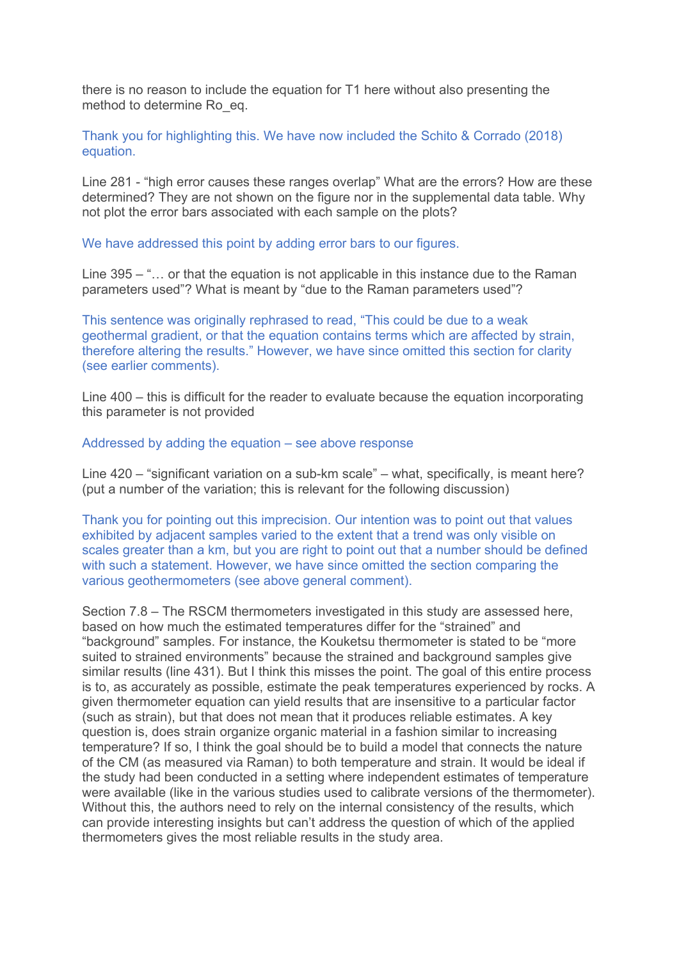there is no reason to include the equation for T1 here without also presenting the method to determine Ro\_eq.

## Thank you for highlighting this. We have now included the Schito & Corrado (2018) equation.

Line 281 - "high error causes these ranges overlap" What are the errors? How are these determined? They are not shown on the figure nor in the supplemental data table. Why not plot the error bars associated with each sample on the plots?

We have addressed this point by adding error bars to our figures.

Line 395 – "… or that the equation is not applicable in this instance due to the Raman parameters used"? What is meant by "due to the Raman parameters used"?

This sentence was originally rephrased to read, "This could be due to a weak geothermal gradient, or that the equation contains terms which are affected by strain, therefore altering the results." However, we have since omitted this section for clarity (see earlier comments).

Line 400 – this is difficult for the reader to evaluate because the equation incorporating this parameter is not provided

## Addressed by adding the equation – see above response

Line 420 – "significant variation on a sub-km scale" – what, specifically, is meant here? (put a number of the variation; this is relevant for the following discussion)

Thank you for pointing out this imprecision. Our intention was to point out that values exhibited by adjacent samples varied to the extent that a trend was only visible on scales greater than a km, but you are right to point out that a number should be defined with such a statement. However, we have since omitted the section comparing the various geothermometers (see above general comment).

Section 7.8 – The RSCM thermometers investigated in this study are assessed here, based on how much the estimated temperatures differ for the "strained" and "background" samples. For instance, the Kouketsu thermometer is stated to be "more suited to strained environments" because the strained and background samples give similar results (line 431). But I think this misses the point. The goal of this entire process is to, as accurately as possible, estimate the peak temperatures experienced by rocks. A given thermometer equation can yield results that are insensitive to a particular factor (such as strain), but that does not mean that it produces reliable estimates. A key question is, does strain organize organic material in a fashion similar to increasing temperature? If so, I think the goal should be to build a model that connects the nature of the CM (as measured via Raman) to both temperature and strain. It would be ideal if the study had been conducted in a setting where independent estimates of temperature were available (like in the various studies used to calibrate versions of the thermometer). Without this, the authors need to rely on the internal consistency of the results, which can provide interesting insights but can't address the question of which of the applied thermometers gives the most reliable results in the study area.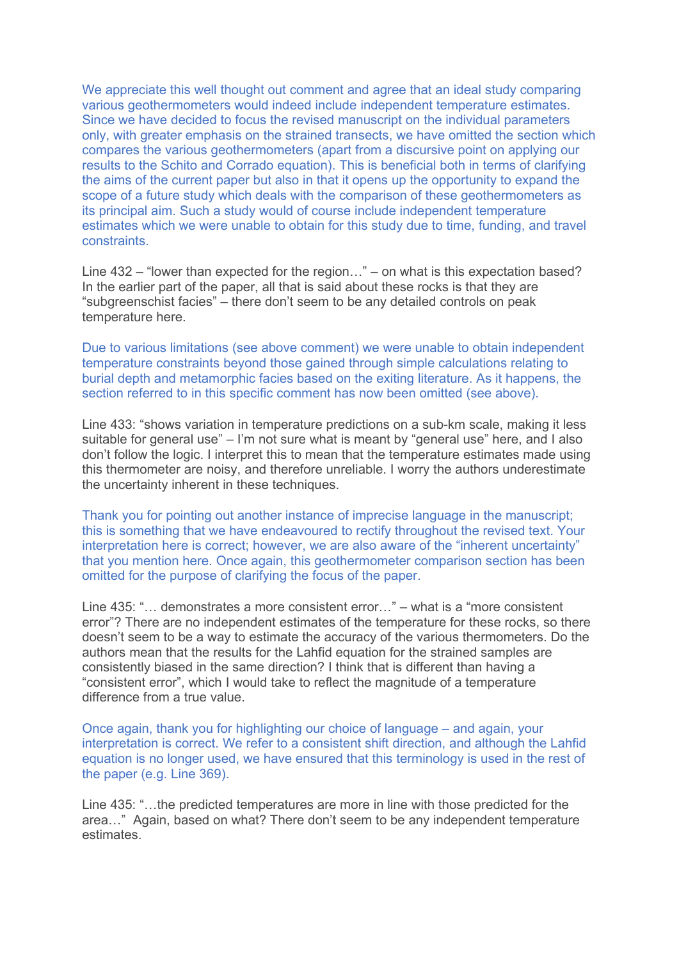We appreciate this well thought out comment and agree that an ideal study comparing various geothermometers would indeed include independent temperature estimates. Since we have decided to focus the revised manuscript on the individual parameters only, with greater emphasis on the strained transects, we have omitted the section which compares the various geothermometers (apart from a discursive point on applying our results to the Schito and Corrado equation). This is beneficial both in terms of clarifying the aims of the current paper but also in that it opens up the opportunity to expand the scope of a future study which deals with the comparison of these geothermometers as its principal aim. Such a study would of course include independent temperature estimates which we were unable to obtain for this study due to time, funding, and travel constraints.

Line 432 – "lower than expected for the region…" – on what is this expectation based? In the earlier part of the paper, all that is said about these rocks is that they are "subgreenschist facies" – there don't seem to be any detailed controls on peak temperature here.

Due to various limitations (see above comment) we were unable to obtain independent temperature constraints beyond those gained through simple calculations relating to burial depth and metamorphic facies based on the exiting literature. As it happens, the section referred to in this specific comment has now been omitted (see above).

Line 433: "shows variation in temperature predictions on a sub-km scale, making it less suitable for general use" – I'm not sure what is meant by "general use" here, and I also don't follow the logic. I interpret this to mean that the temperature estimates made using this thermometer are noisy, and therefore unreliable. I worry the authors underestimate the uncertainty inherent in these techniques.

Thank you for pointing out another instance of imprecise language in the manuscript; this is something that we have endeavoured to rectify throughout the revised text. Your interpretation here is correct; however, we are also aware of the "inherent uncertainty" that you mention here. Once again, this geothermometer comparison section has been omitted for the purpose of clarifying the focus of the paper.

Line 435: "… demonstrates a more consistent error…" – what is a "more consistent error"? There are no independent estimates of the temperature for these rocks, so there doesn't seem to be a way to estimate the accuracy of the various thermometers. Do the authors mean that the results for the Lahfid equation for the strained samples are consistently biased in the same direction? I think that is different than having a "consistent error", which I would take to reflect the magnitude of a temperature difference from a true value.

Once again, thank you for highlighting our choice of language – and again, your interpretation is correct. We refer to a consistent shift direction, and although the Lahfid equation is no longer used, we have ensured that this terminology is used in the rest of the paper (e.g. Line 369).

Line 435: "…the predicted temperatures are more in line with those predicted for the area…" Again, based on what? There don't seem to be any independent temperature estimates.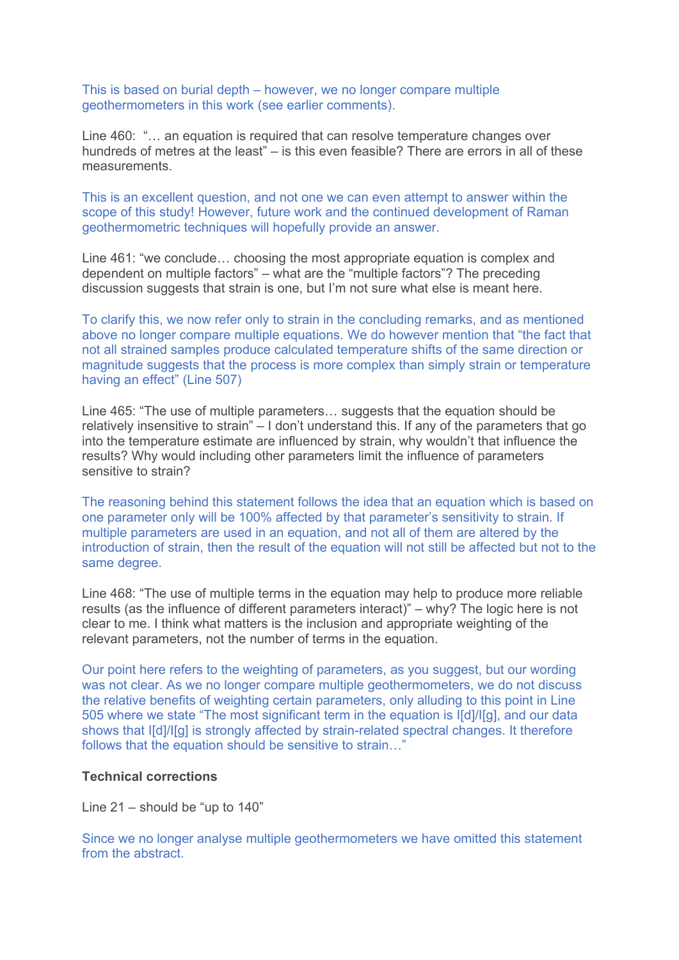This is based on burial depth – however, we no longer compare multiple geothermometers in this work (see earlier comments).

Line 460: "… an equation is required that can resolve temperature changes over hundreds of metres at the least" – is this even feasible? There are errors in all of these measurements.

This is an excellent question, and not one we can even attempt to answer within the scope of this study! However, future work and the continued development of Raman geothermometric techniques will hopefully provide an answer.

Line 461: "we conclude… choosing the most appropriate equation is complex and dependent on multiple factors" – what are the "multiple factors"? The preceding discussion suggests that strain is one, but I'm not sure what else is meant here.

To clarify this, we now refer only to strain in the concluding remarks, and as mentioned above no longer compare multiple equations. We do however mention that "the fact that not all strained samples produce calculated temperature shifts of the same direction or magnitude suggests that the process is more complex than simply strain or temperature having an effect" (Line 507)

Line 465: "The use of multiple parameters… suggests that the equation should be relatively insensitive to strain" – I don't understand this. If any of the parameters that go into the temperature estimate are influenced by strain, why wouldn't that influence the results? Why would including other parameters limit the influence of parameters sensitive to strain?

The reasoning behind this statement follows the idea that an equation which is based on one parameter only will be 100% affected by that parameter's sensitivity to strain. If multiple parameters are used in an equation, and not all of them are altered by the introduction of strain, then the result of the equation will not still be affected but not to the same degree.

Line 468: "The use of multiple terms in the equation may help to produce more reliable results (as the influence of different parameters interact)" – why? The logic here is not clear to me. I think what matters is the inclusion and appropriate weighting of the relevant parameters, not the number of terms in the equation.

Our point here refers to the weighting of parameters, as you suggest, but our wording was not clear. As we no longer compare multiple geothermometers, we do not discuss the relative benefits of weighting certain parameters, only alluding to this point in Line 505 where we state "The most significant term in the equation is I[d]/I[g], and our data shows that I[d]/I[g] is strongly affected by strain-related spectral changes. It therefore follows that the equation should be sensitive to strain…"

## **Technical corrections**

Line 21 – should be "up to 140"

Since we no longer analyse multiple geothermometers we have omitted this statement from the abstract.